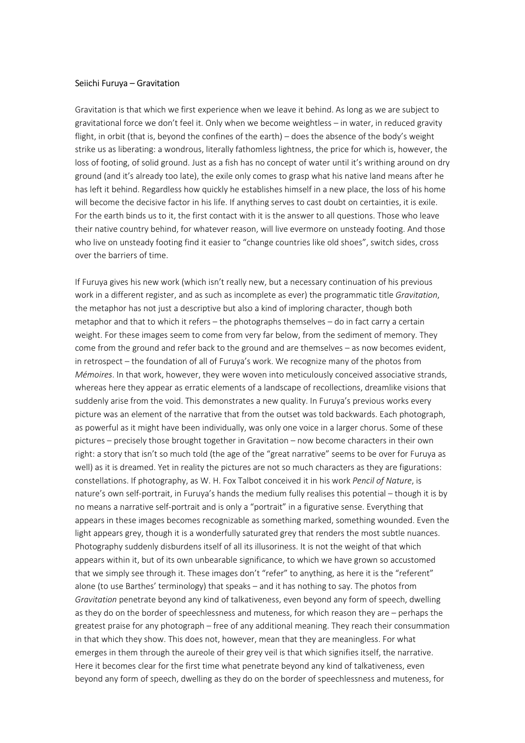## Seiichi Furuya – Gravitation

Gravitation is that which we first experience when we leave it behind. As long as we are subject to gravitational force we don't feel it. Only when we become weightless – in water, in reduced gravity flight, in orbit (that is, beyond the confines of the earth) – does the absence of the body's weight strike us as liberating: a wondrous, literally fathomless lightness, the price for which is, however, the loss of footing, of solid ground. Just as a fish has no concept of water until it's writhing around on dry ground (and it's already too late), the exile only comes to grasp what his native land means after he has left it behind. Regardless how quickly he establishes himself in a new place, the loss of his home will become the decisive factor in his life. If anything serves to cast doubt on certainties, it is exile. For the earth binds us to it, the first contact with it is the answer to all questions. Those who leave their native country behind, for whatever reason, will live evermore on unsteady footing. And those who live on unsteady footing find it easier to "change countries like old shoes", switch sides, cross over the barriers of time.

If Furuya gives his new work (which isn't really new, but a necessary continuation of his previous work in a different register, and as such as incomplete as ever) the programmatic title Gravitation, the metaphor has not just a descriptive but also a kind of imploring character, though both metaphor and that to which it refers – the photographs themselves – do in fact carry a certain weight. For these images seem to come from very far below, from the sediment of memory. They come from the ground and refer back to the ground and are themselves – as now becomes evident, in retrospect – the foundation of all of Furuya's work. We recognize many of the photos from Mémoires. In that work, however, they were woven into meticulously conceived associative strands, whereas here they appear as erratic elements of a landscape of recollections, dreamlike visions that suddenly arise from the void. This demonstrates a new quality. In Furuya's previous works every picture was an element of the narrative that from the outset was told backwards. Each photograph, as powerful as it might have been individually, was only one voice in a larger chorus. Some of these pictures – precisely those brought together in Gravitation – now become characters in their own right: a story that isn't so much told (the age of the "great narrative" seems to be over for Furuya as well) as it is dreamed. Yet in reality the pictures are not so much characters as they are figurations: constellations. If photography, as W. H. Fox Talbot conceived it in his work Pencil of Nature, is nature's own self-portrait, in Furuya's hands the medium fully realises this potential – though it is by no means a narrative self-portrait and is only a "portrait" in a figurative sense. Everything that appears in these images becomes recognizable as something marked, something wounded. Even the light appears grey, though it is a wonderfully saturated grey that renders the most subtle nuances. Photography suddenly disburdens itself of all its illusoriness. It is not the weight of that which appears within it, but of its own unbearable significance, to which we have grown so accustomed that we simply see through it. These images don't "refer" to anything, as here it is the "referent" alone (to use Barthes' terminology) that speaks – and it has nothing to say. The photos from Gravitation penetrate beyond any kind of talkativeness, even beyond any form of speech, dwelling as they do on the border of speechlessness and muteness, for which reason they are – perhaps the greatest praise for any photograph – free of any additional meaning. They reach their consummation in that which they show. This does not, however, mean that they are meaningless. For what emerges in them through the aureole of their grey veil is that which signifies itself, the narrative. Here it becomes clear for the first time what penetrate beyond any kind of talkativeness, even beyond any form of speech, dwelling as they do on the border of speechlessness and muteness, for